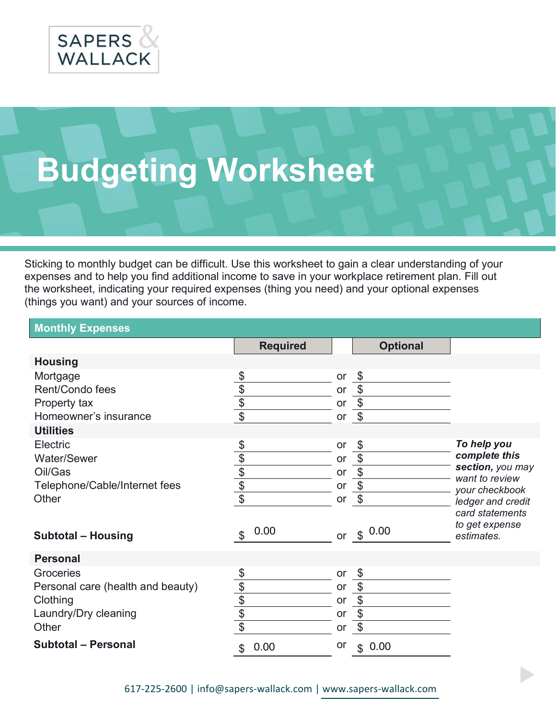

## **Budgeting Worksheet**

Sticking to monthly budget can be difficult. Use this worksheet to gain a clear understanding of your expenses and to help you find additional income to save in your workplace retirement plan. Fill out the worksheet, indicating your required expenses (thing you need) and your optional expenses (things you want) and your sources of income.

| <b>Monthly Expenses</b>           |                               |    |                           |                                   |
|-----------------------------------|-------------------------------|----|---------------------------|-----------------------------------|
|                                   | <b>Required</b>               |    | <b>Optional</b>           |                                   |
| <b>Housing</b>                    |                               |    |                           |                                   |
| Mortgage                          | \$                            | or | \$                        |                                   |
| Rent/Condo fees                   | \$                            | or | \$                        |                                   |
| Property tax                      | $\frac{1}{2}$                 | or | $\boldsymbol{\theta}$     |                                   |
| Homeowner's insurance             | $\overline{\$}$               | or | $\boldsymbol{\mathsf{S}}$ |                                   |
| <b>Utilities</b>                  |                               |    |                           |                                   |
| Electric                          | $\frac{1}{2}$                 | or | \$                        | To help you                       |
| Water/Sewer                       |                               | or | $\boldsymbol{\theta}$     | complete this<br>section, you may |
| Oil/Gas                           |                               | or | \$                        | want to review                    |
| Telephone/Cable/Internet fees     | $\frac{1}{\sqrt{2}}$          | or | $\boldsymbol{\theta}$     | your checkbook                    |
| Other                             |                               | or | $\boldsymbol{\theta}$     | ledger and credit                 |
|                                   |                               |    |                           | card statements                   |
| <b>Subtotal - Housing</b>         | 0.00<br>$\boldsymbol{\theta}$ | or | \$0.00                    | to get expense<br>estimates.      |
|                                   |                               |    |                           |                                   |
| <b>Personal</b>                   |                               |    |                           |                                   |
| Groceries                         | \$                            | or | \$                        |                                   |
| Personal care (health and beauty) | \$                            | or | $\boldsymbol{\theta}$     |                                   |
| Clothing                          | $\overline{\mathcal{L}}$      | or | $\boldsymbol{\$}$         |                                   |
| Laundry/Dry cleaning              | \$                            | or | $\boldsymbol{\theta}$     |                                   |
| Other                             | $\boldsymbol{\mathsf{\$}}$    | or | \$                        |                                   |
| <b>Subtotal - Personal</b>        | 0.00<br>\$                    | or | 0.00<br>$\mathfrak{S}$    |                                   |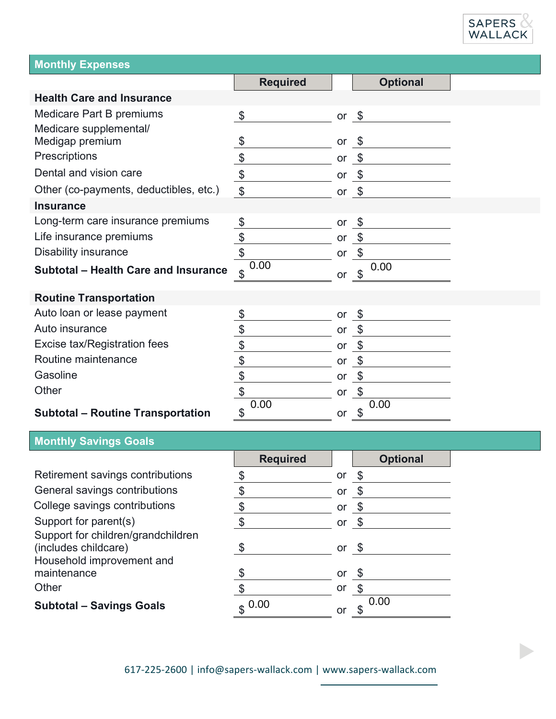

b,

| <b>Monthly Expenses</b>                     |                                                   |         |                               |  |
|---------------------------------------------|---------------------------------------------------|---------|-------------------------------|--|
|                                             | <b>Required</b>                                   |         | <b>Optional</b>               |  |
| <b>Health Care and Insurance</b>            |                                                   |         |                               |  |
| Medicare Part B premiums                    | $\boldsymbol{\theta}$                             | or $\$$ |                               |  |
| Medicare supplemental/                      |                                                   |         |                               |  |
| Medigap premium                             | $\boldsymbol{\theta}$                             | or      | \$                            |  |
| Prescriptions                               | \$                                                | or      | \$                            |  |
| Dental and vision care                      | $\frac{1}{2}$                                     | or      | \$                            |  |
| Other (co-payments, deductibles, etc.)      | $\boldsymbol{\mathsf{\$}}$                        | or      | \$                            |  |
| <b>Insurance</b>                            |                                                   |         |                               |  |
| Long-term care insurance premiums           | \$                                                | or      | \$                            |  |
| Life insurance premiums                     | $\frac{1}{2}$                                     | or      | $\boldsymbol{\mathsf{\$}}$    |  |
| <b>Disability insurance</b>                 | \$                                                | or      | $\boldsymbol{\theta}$         |  |
| <b>Subtotal - Health Care and Insurance</b> | 0.00<br>\$                                        | or      | 0.00<br>$\boldsymbol{\theta}$ |  |
|                                             |                                                   |         |                               |  |
| <b>Routine Transportation</b>               |                                                   |         |                               |  |
| Auto loan or lease payment                  | \$                                                | or      | \$                            |  |
| Auto insurance                              | \$                                                | or      | \$                            |  |
| Excise tax/Registration fees                | \$                                                | or      | \$                            |  |
| Routine maintenance                         | \$                                                | or      | $\boldsymbol{\theta}$         |  |
| Gasoline                                    | \$                                                | or      | \$                            |  |
| Other                                       | \$                                                | or      | $\boldsymbol{\theta}$         |  |
| <b>Subtotal - Routine Transportation</b>    | 0.00<br>$\, \, \raisebox{12pt}{$\scriptstyle \$}$ | or      | 0.00<br>\$                    |  |

## **Monthly Savings Goals**

|                                                                                         | <b>Required</b> |    | <b>Optional</b> |
|-----------------------------------------------------------------------------------------|-----------------|----|-----------------|
| Retirement savings contributions                                                        |                 | or |                 |
| General savings contributions                                                           |                 | or |                 |
| College savings contributions                                                           |                 | or |                 |
| Support for parent(s)                                                                   |                 | or |                 |
| Support for children/grandchildren<br>(includes childcare)<br>Household improvement and |                 | or |                 |
| maintenance                                                                             |                 | or | - \$            |
| Other                                                                                   |                 | or |                 |
| <b>Subtotal - Savings Goals</b>                                                         | $$^{0.00}$      | or | 0.00            |